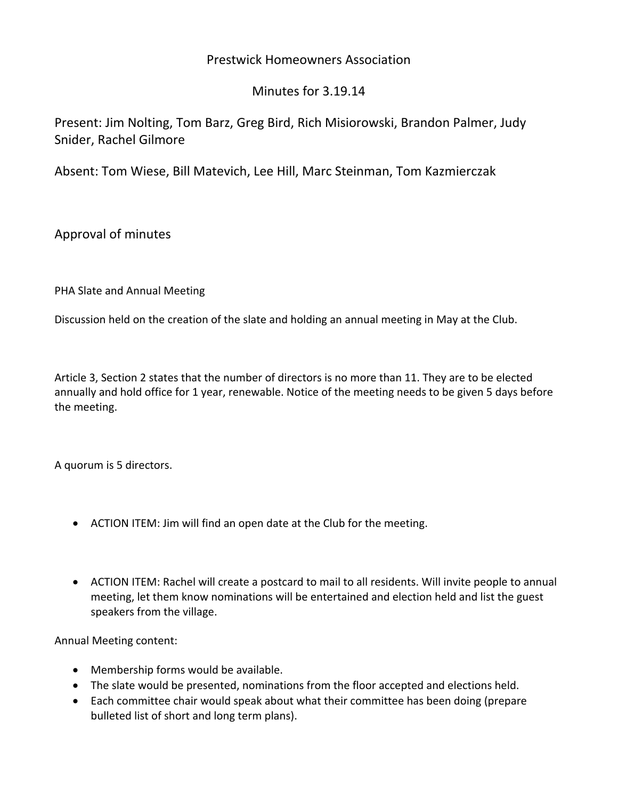# Prestwick Homeowners Association

# Minutes for 3.19.14

Present: Jim Nolting, Tom Barz, Greg Bird, Rich Misiorowski, Brandon Palmer, Judy Snider, Rachel Gilmore

Absent: Tom Wiese, Bill Matevich, Lee Hill, Marc Steinman, Tom Kazmierczak

Approval of minutes

PHA Slate and Annual Meeting

Discussion held on the creation of the slate and holding an annual meeting in May at the Club.

Article 3, Section 2 states that the number of directors is no more than 11. They are to be elected annually and hold office for 1 year, renewable. Notice of the meeting needs to be given 5 days before the meeting.

A quorum is 5 directors.

- ACTION ITEM: Jim will find an open date at the Club for the meeting.
- ACTION ITEM: Rachel will create a postcard to mail to all residents. Will invite people to annual meeting, let them know nominations will be entertained and election held and list the guest speakers from the village.

Annual Meeting content:

- Membership forms would be available.
- The slate would be presented, nominations from the floor accepted and elections held.
- Each committee chair would speak about what their committee has been doing (prepare bulleted list of short and long term plans).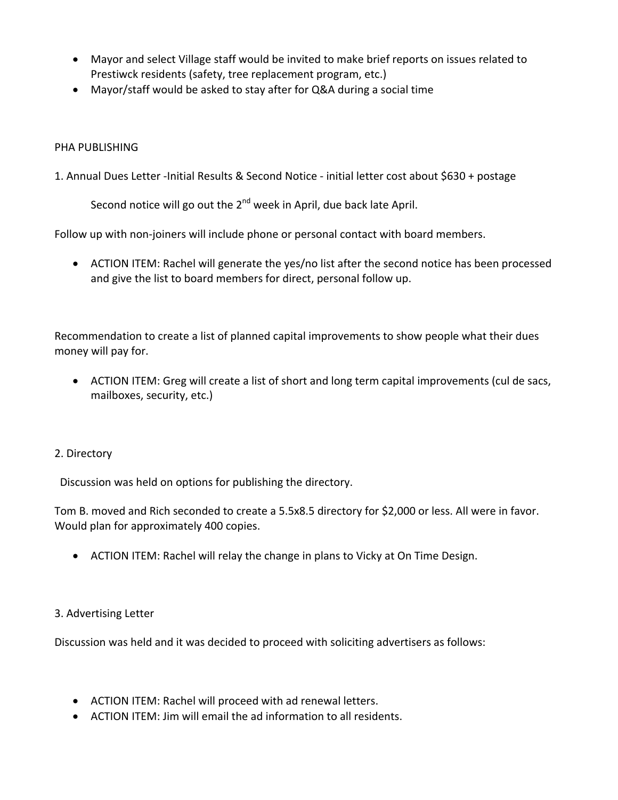- Mayor and select Village staff would be invited to make brief reports on issues related to Prestiwck residents (safety, tree replacement program, etc.)
- Mayor/staff would be asked to stay after for Q&A during a social time

### PHA PUBLISHING

1. Annual Dues Letter ‐Initial Results & Second Notice ‐ initial letter cost about \$630 + postage

Second notice will go out the  $2^{nd}$  week in April, due back late April.

Follow up with non-joiners will include phone or personal contact with board members.

• ACTION ITEM: Rachel will generate the yes/no list after the second notice has been processed and give the list to board members for direct, personal follow up.

Recommendation to create a list of planned capital improvements to show people what their dues money will pay for.

• ACTION ITEM: Greg will create a list of short and long term capital improvements (cul de sacs, mailboxes, security, etc.)

#### 2. Directory

Discussion was held on options for publishing the directory.

Tom B. moved and Rich seconded to create a 5.5x8.5 directory for \$2,000 or less. All were in favor. Would plan for approximately 400 copies.

• ACTION ITEM: Rachel will relay the change in plans to Vicky at On Time Design.

#### 3. Advertising Letter

Discussion was held and it was decided to proceed with soliciting advertisers as follows:

- ACTION ITEM: Rachel will proceed with ad renewal letters.
- ACTION ITEM: Jim will email the ad information to all residents.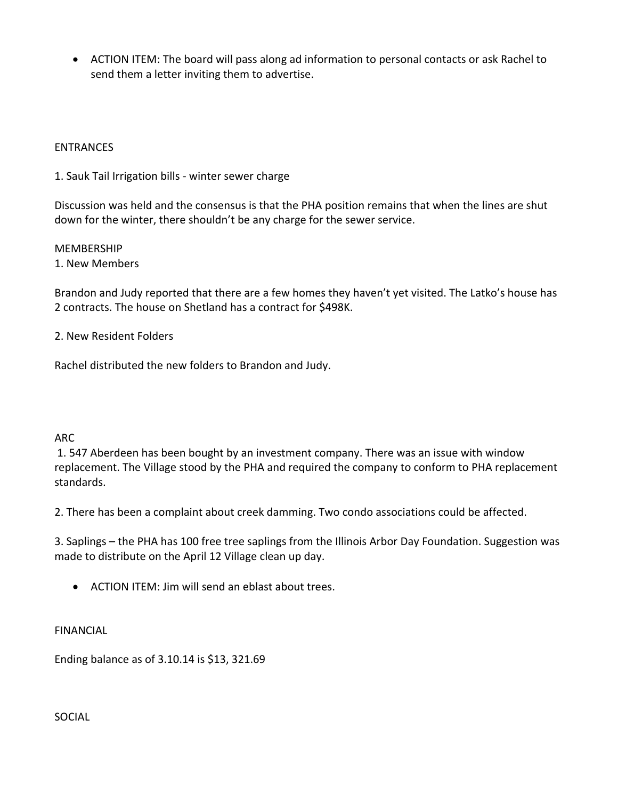• ACTION ITEM: The board will pass along ad information to personal contacts or ask Rachel to send them a letter inviting them to advertise.

### ENTRANCES

1. Sauk Tail Irrigation bills ‐ winter sewer charge

Discussion was held and the consensus is that the PHA position remains that when the lines are shut down for the winter, there shouldn't be any charge for the sewer service.

MEMBERSHIP

1. New Members

Brandon and Judy reported that there are a few homes they haven't yet visited. The Latko's house has 2 contracts. The house on Shetland has a contract for \$498K.

2. New Resident Folders

Rachel distributed the new folders to Brandon and Judy.

#### ARC

1. 547 Aberdeen has been bought by an investment company. There was an issue with window replacement. The Village stood by the PHA and required the company to conform to PHA replacement standards.

2. There has been a complaint about creek damming. Two condo associations could be affected.

3. Saplings – the PHA has 100 free tree saplings from the Illinois Arbor Day Foundation. Suggestion was made to distribute on the April 12 Village clean up day.

• ACTION ITEM: Jim will send an eblast about trees.

FINANCIAL

Ending balance as of 3.10.14 is \$13, 321.69

SOCIAL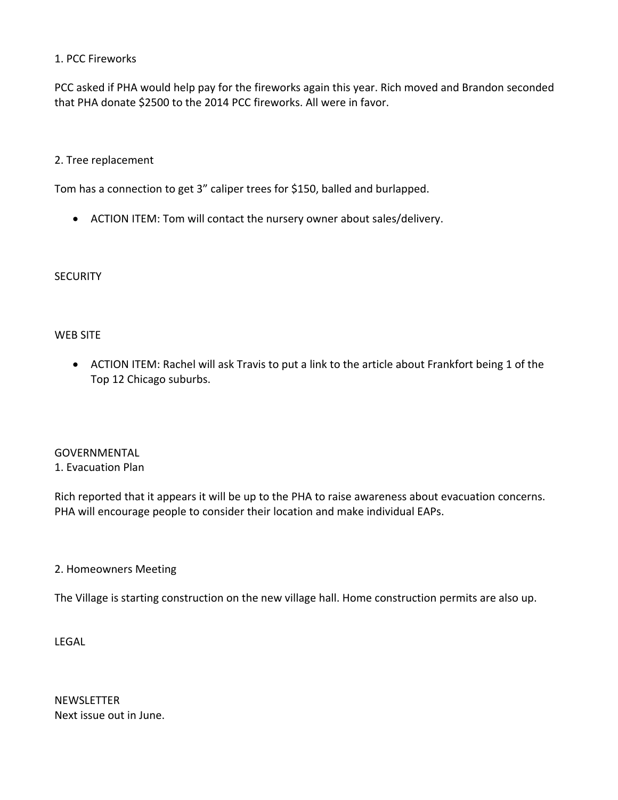# 1. PCC Fireworks

PCC asked if PHA would help pay for the fireworks again this year. Rich moved and Brandon seconded that PHA donate \$2500 to the 2014 PCC fireworks. All were in favor.

#### 2. Tree replacement

Tom has a connection to get 3" caliper trees for \$150, balled and burlapped.

• ACTION ITEM: Tom will contact the nursery owner about sales/delivery.

**SECURITY** 

# WEB SITE

• ACTION ITEM: Rachel will ask Travis to put a link to the article about Frankfort being 1 of the Top 12 Chicago suburbs.

# GOVERNMENTAL 1. Evacuation Plan

Rich reported that it appears it will be up to the PHA to raise awareness about evacuation concerns. PHA will encourage people to consider their location and make individual EAPs.

#### 2. Homeowners Meeting

The Village is starting construction on the new village hall. Home construction permits are also up.

LEGAL

NEWSLETTER Next issue out in June.